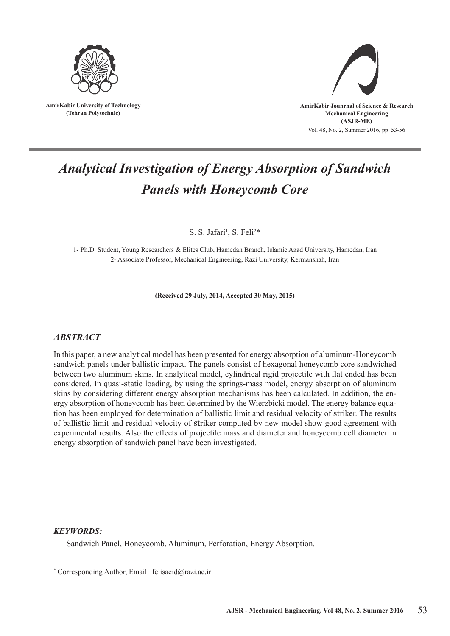

**AmirKabir University of Technology (Tehran Polytechnic)**



# *Analytical Investigation of Energy Absorption of Sandwich Panels with Honeycomb Core*

S. S. Jafari<sup>1</sup>, S. Feli<sup>2\*</sup>

1- Ph.D. Student, Young Researchers & Elites Club, Hamedan Branch, Islamic Azad University, Hamedan, Iran 2- Associate Professor, Mechanical Engineering, Razi University, Kermanshah, Iran

**(Received 29 July, 2014, Accepted 30 May, 2015)**

# *ABSTRACT*

In this paper, a new analytical model has been presented for energy absorption of aluminum-Honeycomb sandwich panels under ballistic impact. The panels consist of hexagonal honeycomb core sandwiched between two aluminum skins. In analytical model, cylindrical rigid projectile with flat ended has been considered. In quasi-static loading, by using the springs-mass model, energy absorption of aluminum skins by considering different energy absorption mechanisms has been calculated. In addition, the energy absorption of honeycomb has been determined by the Wierzbicki model. The energy balance equation has been employed for determination of ballistic limit and residual velocity of striker. The results of ballistic limit and residual velocity of striker computed by new model show good agreement with experimental results. Also the effects of projectile mass and diameter and honeycomb cell diameter in energy absorption of sandwich panel have been investigated.

# *KEYWORDS:*

Sandwich Panel, Honeycomb, Aluminum, Perforation, Energy Absorption.

<sup>\*</sup> Corresponding Author, Email: felisaeid@razi.ac.ir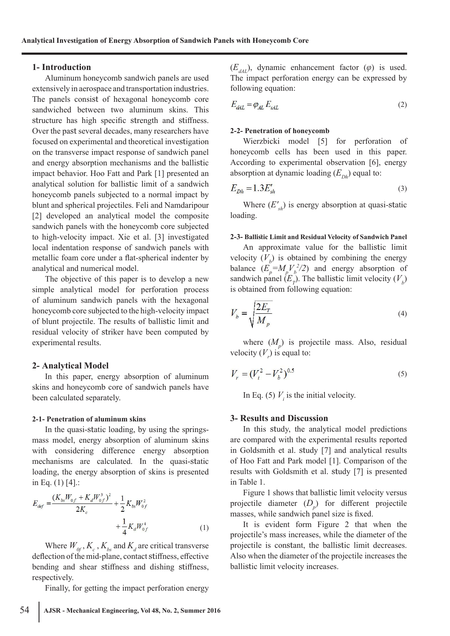### **1- Introduction**

Aluminum honeycomb sandwich panels are used extensively in aerospace and transportation industries. The panels consist of hexagonal honeycomb core sandwiched between two aluminum skins. This structure has high specific strength and stiffness. Over the past several decades, many researchers have focused on experimental and theoretical investigation on the transverse impact response of sandwich panel and energy absorption mechanisms and the ballistic impact behavior. Hoo Fatt and Park [1] presented an analytical solution for ballistic limit of a sandwich honeycomb panels subjected to a normal impact by blunt and spherical projectiles. Feli and Namdaripour [2] developed an analytical model the composite sandwich panels with the honeycomb core subjected to high-velocity impact. Xie et al. [3] investigated local indentation response of sandwich panels with metallic foam core under a flat-spherical indenter by analytical and numerical model.

The objective of this paper is to develop a new simple analytical model for perforation process of aluminum sandwich panels with the hexagonal honeycomb core subjected to the high-velocity impact of blunt projectile. The results of ballistic limit and residual velocity of striker have been computed by experimental results.

## **2- Analytical Model**

In this paper, energy absorption of aluminum skins and honeycomb core of sandwich panels have been calculated separately.

#### **2-1- Penetration of aluminum skins**

In the quasi-static loading, by using the springsmass model, energy absorption of aluminum skins with considering difference energy absorption mechanisms are calculated. In the quasi-static loading, the energy absorption of skins is presented in Eq.  $(1)$  [4].:

$$
E_{def} = \frac{(K_{bs}W_{0f} + K_dW_{0f}^3)^2}{2K_c} + \frac{1}{2}K_{bs}W_{0f}^2 + \frac{1}{4}K_dW_{0f}^4
$$
 (1)

Where  $W_{0f}$ ,  $K_c$ ,  $K_{bs}$  and  $K_d$  are critical transverse deflection of the mid-plane, contact stiffness, effective bending and shear stiffness and dishing stiffness, respectively.

Finally, for getting the impact perforation energy

$$
E_{d4L} = \varphi_{AL} E_{s4L} \tag{2}
$$

#### **2-2- Penetration of honeycomb**

Wierzbicki model [5] for perforation of honeycomb cells has been used in this paper. According to experimental observation [6], energy absorption at dynamic loading  $(E_{Dh})$  equal to:

$$
E_{Dh} = 1.3E'_{sh} \tag{3}
$$

Where  $(E'_{sh})$  is energy absorption at quasi-static loading.

#### **2-3- Ballistic Limit and Residual Velocity of Sandwich Panel**

An approximate value for the ballistic limit velocity  $(V_b)$  is obtained by combining the energy balance  $(E_p = M_p V_b^2 / 2)$  and energy absorption of sandwich panel  $(E_p)$ . The ballistic limit velocity  $(V_b)$ is obtained from following equation:

$$
V_b = \sqrt{\frac{2E_T}{M_p}}
$$
\n<sup>(4)</sup>

where  $(M_p)$  is projectile mass. Also, residual velocity  $(V_r)$  is equal to:

$$
V_r = (V_i^2 - V_b^2)^{0.5}
$$
 (5)

In Eq. (5)  $V_i$  is the initial velocity.

# **3- Results and Discussion**

In this study, the analytical model predictions are compared with the experimental results reported in Goldsmith et al. study [7] and analytical results of Hoo Fatt and Park model [1]. Comparison of the results with Goldsmith et al. study [7] is presented in Table 1.

Figure 1 shows that ballistic limit velocity versus projectile diameter (*D p* ) for different projectile masses, while sandwich panel size is fixed.

It is evident form Figure 2 that when the projectile's mass increases, while the diameter of the projectile is constant, the ballistic limit decreases. Also when the diameter of the projectile increases the ballistic limit velocity increases.